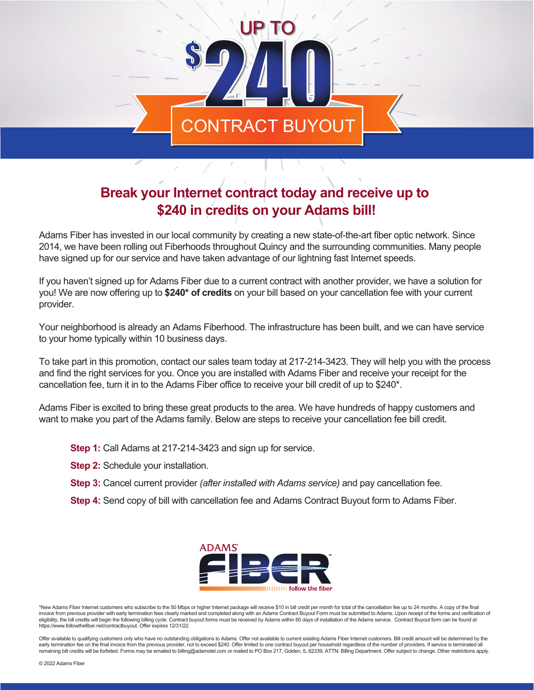## ONTRACT BUYO UP TO

## **Break your Internet contract today and receive up to \$240 in credits on your Adams bill!**

Adams Fiber has invested in our local community by creating a new state-of-the-art fiber optic network. Since 2014, we have been rolling out Fiberhoods throughout Quincy and the surrounding communities. Many people have signed up for our service and have taken advantage of our lightning fast Internet speeds.

If you haven't signed up for Adams Fiber due to a current contract with another provider, we have a solution for you! We are now offering up to **\$240\* of credits** on your bill based on your cancellation fee with your current provider.

Your neighborhood is already an Adams Fiberhood. The infrastructure has been built, and we can have service to your home typically within 10 business days.

To take part in this promotion, contact our sales team today at 217-214-3423. They will help you with the process and find the right services for you. Once you are installed with Adams Fiber and receive your receipt for the cancellation fee, turn it in to the Adams Fiber office to receive your bill credit of up to \$240\*.

Adams Fiber is excited to bring these great products to the area. We have hundreds of happy customers and want to make you part of the Adams family. Below are steps to receive your cancellation fee bill credit.

- **Step 1:** Call Adams at 217-214-3423 and sign up for service.
- **Step 2:** Schedule your installation.
- **Step 3:** Cancel current provider *(after installed with Adams service)* and pay cancellation fee.
- **Step 4:** Send copy of bill with cancellation fee and Adams Contract Buyout form to Adams Fiber.



\*New Adams Fiber Internet customers who subscribe to the 50 Mbps or higher Internet package will receive \$10 in bill credit per month for total of the cancellation fee up to 24 months. A copy of the final invoice from previous provider with early termination fees clearly marked and completed along with an Adams Contract Buyout Form must be submitted to Adams. Upon receipt of the forms and verification of eligibility, the bill credits will begin the following billing cycle. Contract buyout forms must be received by Adams within 60 days of installation of the Adams service. Contract Buyout form can be found at https://www.followthefiber.net/contractbuyout. Offer expires 12/31/22.

Offer available to qualifying customers only who have no outstanding obligations to Adams. Offer not available to current existing Adams Fiber Internet customers. Bill credit amount will be determined by the early termination fee on the final invoice from the previous provider, not to exceed \$240. Offer limited to one contract buyout per household regardless of the number of providers. If service is terminated all<br>remaining bi